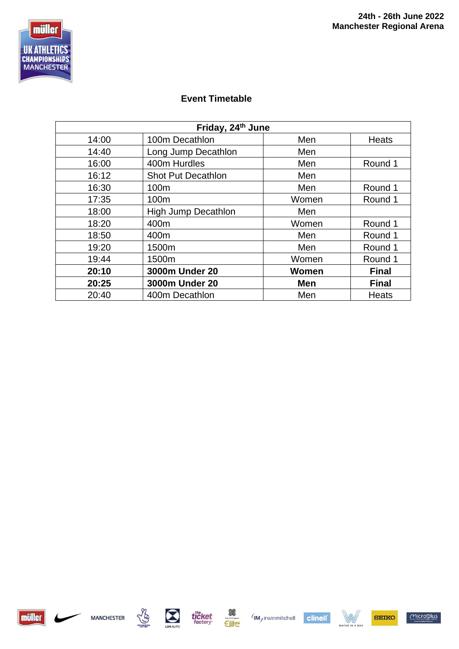

## **Event Timetable**

| Friday, 24th June |                            |       |              |  |  |
|-------------------|----------------------------|-------|--------------|--|--|
| 14:00             | 100m Decathlon             | Men   | Heats        |  |  |
| 14:40             | Long Jump Decathlon        | Men   |              |  |  |
| 16:00             | 400m Hurdles               | Men   | Round 1      |  |  |
| 16:12             | <b>Shot Put Decathlon</b>  | Men   |              |  |  |
| 16:30             | 100m                       | Men   | Round 1      |  |  |
| 17:35             | 100m                       | Women | Round 1      |  |  |
| 18:00             | <b>High Jump Decathlon</b> | Men   |              |  |  |
| 18:20             | 400m                       | Women | Round 1      |  |  |
| 18:50             | 400m                       | Men   | Round 1      |  |  |
| 19:20             | 1500m                      | Men   | Round 1      |  |  |
| 19:44             | 1500m                      | Women | Round 1      |  |  |
| 20:10             | 3000m Under 20             | Women | <b>Final</b> |  |  |
| 20:25             | 3000m Under 20             | Men   | <b>Final</b> |  |  |
| 20:40             | 400m Decathlon             | Men   | Heats        |  |  |















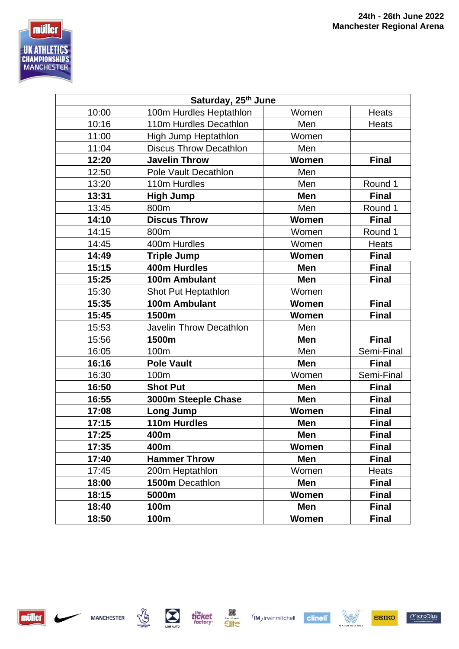

| Saturday, 25 <sup>th</sup> June |                               |            |              |  |
|---------------------------------|-------------------------------|------------|--------------|--|
| 10:00                           | 100m Hurdles Heptathlon       | Women      | <b>Heats</b> |  |
| 10:16                           | 110m Hurdles Decathlon        | Men        | <b>Heats</b> |  |
| 11:00                           | High Jump Heptathlon          | Women      |              |  |
| 11:04                           | <b>Discus Throw Decathlon</b> | Men        |              |  |
| 12:20                           | <b>Javelin Throw</b>          | Women      | <b>Final</b> |  |
| 12:50                           | Pole Vault Decathlon          | Men        |              |  |
| 13:20                           | 110m Hurdles                  | Men        | Round 1      |  |
| 13:31                           | <b>High Jump</b>              | Men        | <b>Final</b> |  |
| 13:45                           | 800m                          | Men        | Round 1      |  |
| 14:10                           | <b>Discus Throw</b>           | Women      | <b>Final</b> |  |
| 14:15                           | 800m                          | Women      | Round 1      |  |
| 14:45                           | 400m Hurdles                  | Women      | <b>Heats</b> |  |
| 14:49                           | <b>Triple Jump</b>            | Women      | <b>Final</b> |  |
| 15:15                           | 400m Hurdles                  | Men        | <b>Final</b> |  |
| 15:25                           | 100m Ambulant                 | Men        | <b>Final</b> |  |
| 15:30                           | Shot Put Heptathlon           | Women      |              |  |
| 15:35                           | 100m Ambulant                 | Women      | <b>Final</b> |  |
|                                 |                               |            |              |  |
| 15:45                           | 1500m                         | Women      | <b>Final</b> |  |
| 15:53                           | Javelin Throw Decathlon       | Men        |              |  |
| 15:56                           | 1500m                         | <b>Men</b> | <b>Final</b> |  |
| 16:05                           | 100m                          | Men        | Semi-Final   |  |
| 16:16                           | <b>Pole Vault</b>             | Men        | <b>Final</b> |  |
| 16:30                           | 100m                          | Women      | Semi-Final   |  |
| 16:50                           | <b>Shot Put</b>               | <b>Men</b> | <b>Final</b> |  |
| 16:55                           | 3000m Steeple Chase           | Men        | <b>Final</b> |  |
| 17:08                           | Long Jump                     | Women      | <b>Final</b> |  |
| 17:15                           | 110m Hurdles                  | Men        | <b>Final</b> |  |
| 17:25                           | 400m                          | Men        | <b>Final</b> |  |
| 17:35                           | 400m                          | Women      | <b>Final</b> |  |
| 17:40                           | <b>Hammer Throw</b>           | Men        | <b>Final</b> |  |
| 17:45                           | 200m Heptathlon               | Women      | <b>Heats</b> |  |
| 18:00                           | 1500m Decathlon               | Men        | <b>Final</b> |  |
| 18:15                           | 5000m                         | Women      | <b>Final</b> |  |
| 18:40                           | 100m                          | Men        | <b>Final</b> |  |





**Communication**